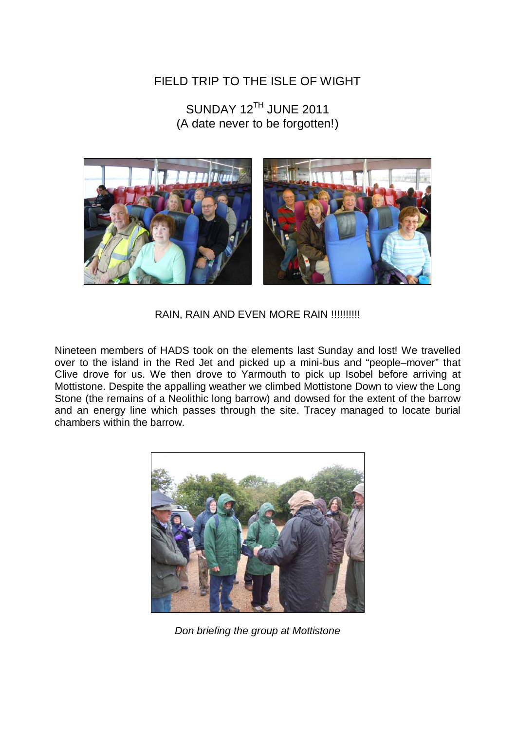## FIELD TRIP TO THE ISLE OF WIGHT

## SUNDAY 12<sup>TH</sup> JUNE 2011 (A date never to be forgotten!)



RAIN, RAIN AND EVEN MORE RAIN !!!!!!!!!!!

Nineteen members of HADS took on the elements last Sunday and lost! We travelled over to the island in the Red Jet and picked up a mini-bus and "people–mover" that Clive drove for us. We then drove to Yarmouth to pick up Isobel before arriving at Mottistone. Despite the appalling weather we climbed Mottistone Down to view the Long Stone (the remains of a Neolithic long barrow) and dowsed for the extent of the barrow and an energy line which passes through the site. Tracey managed to locate burial chambers within the barrow.



Don briefing the group at Mottistone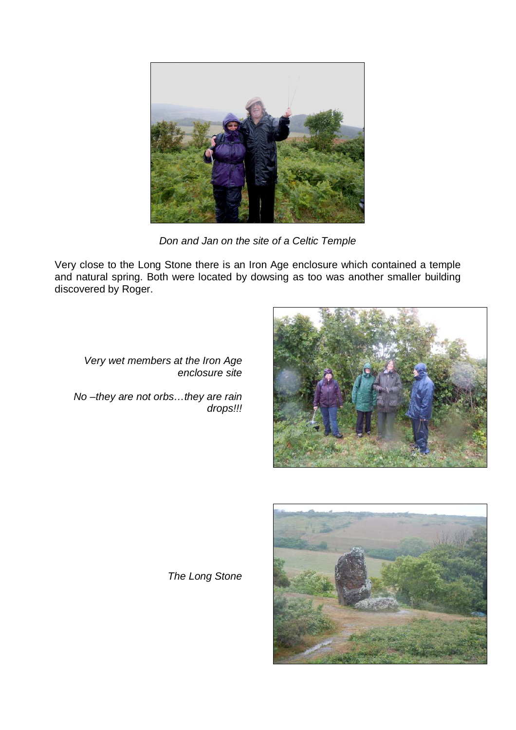

Don and Jan on the site of a Celtic Temple

Very close to the Long Stone there is an Iron Age enclosure which contained a temple and natural spring. Both were located by dowsing as too was another smaller building discovered by Roger.



Very wet members at the Iron Age enclosure site

No –they are not orbs…they are rain drops!!!



The Long Stone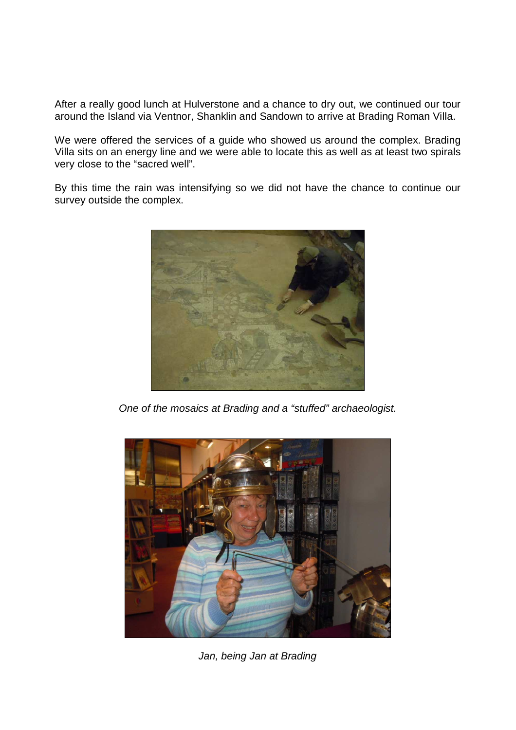After a really good lunch at Hulverstone and a chance to dry out, we continued our tour around the Island via Ventnor, Shanklin and Sandown to arrive at Brading Roman Villa.

We were offered the services of a guide who showed us around the complex. Brading Villa sits on an energy line and we were able to locate this as well as at least two spirals very close to the "sacred well".

By this time the rain was intensifying so we did not have the chance to continue our survey outside the complex.



One of the mosaics at Brading and a "stuffed" archaeologist.



Jan, being Jan at Brading